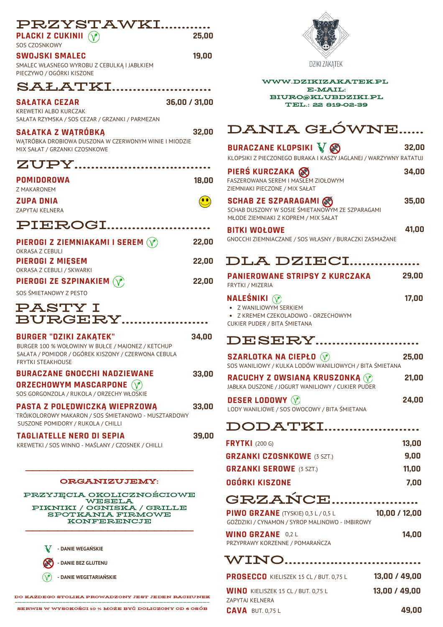| PRZYSTAWKI<br><b>PLACKI Z CUKINII</b> (V)<br>SOS CZOSNKOWY                                                                           | 25,00         |
|--------------------------------------------------------------------------------------------------------------------------------------|---------------|
| <b>SWOJSKI SMALEC</b><br>SMALEC WŁASNEGO WYROBU Z CEBULKĄ I JABŁKIEM<br>PIECZYWO / OGÓRKI KISZONE                                    | 19,00         |
| <b>SALATKI</b>                                                                                                                       |               |
| <b>SAŁATKA CEZAR</b><br>KREWETKI ALBO KURCZAK<br>SAŁATA RZYMSKA / SOS CEZAR / GRZANKI / PARMEZAN                                     | 36,00 / 31,00 |
| <b>SAŁATKA Z WĄTRÓBKĄ</b><br>WĄTRÓBKA DROBIOWA DUSZONA W CZERWONYM WINIE I MIODZIE<br>MIX SAŁAT / GRZANKI CZOSNKOWE                  | 32,00         |
| ZUPY                                                                                                                                 |               |
| POMIDOROWA<br><b>Z MAKARONEM</b>                                                                                                     | 18,00         |
| <b>ZUPA DNIA</b><br><b>ZAPYTAJ KELNERA</b>                                                                                           | $\bullet$     |
| PIEROGI                                                                                                                              |               |
| PIEROGI Z ZIEMNIAKAMI I SEREM $(\check{\vee})$<br><b>OKRASA Z CEBULI</b>                                                             | 22,00         |
| <b>PIEROGI Z MIESEM</b><br>OKRASA Z CEBULI / SKWARKI                                                                                 | 22,00         |
| PIEROGI ZE SZPINAKIEM $(\gamma)$<br>SOS ŚMIETANOWY Z PESTO                                                                           | 22,00         |
| PASTY I<br><b>BURGERY</b>                                                                                                            |               |
| <b>BURGER "DZIKI ZAKĄTEK"</b>                                                                                                        | 34,00         |
| BURGER 100 % WOŁOWINY W BUŁCE / MAJONEZ / KETCHUP<br>SAŁATA / POMIDOR / OGÓREK KISZONY / CZERWONA CEBULA<br><b>FRYTKI STEAKHOUSE</b> |               |
| <b>BURACZANE GNOCCHI NADZIEWANE</b><br><b>ORZECHOWYM MASCARPONE (V)</b><br>SOS GORGONZOLA / RUKOLA / ORZECHY WŁOSKIE                 | 33,00         |
| PASTA Z POLEDWICZKĄ WIEPRZOWĄ<br>TRÓJKOLOROWY MAKARON / SOS ŚMIETANOWO - MUSZTARDOWY<br>SUSZONE POMIDORY / RUKOLA / CHILLI           | 33,00         |
| <b>TAGLIATELLE NERO DI SEPIA</b><br>KREWETKI / SOS WINNO - MAŚLANY / CZOSNEK / CHILLI                                                | 39,00         |
|                                                                                                                                      |               |
| <b>ORGANIZUJEMY:</b>                                                                                                                 |               |
| PRZYJECIA OKOLICZNOŚCIOWE<br>WESELA                                                                                                  |               |
| PIKNIKI / OGNISKA / GRILLE<br>SPOTKANIA FIRMOWE<br>KONFERENCJE                                                                       |               |
|                                                                                                                                      |               |



WWW.DZIKIZAKATEK.PL E-MAIL: BIURO@KLUBDZIKI.PL TEL.: 22 819-02-39

# DANIA GŁÓWNE......

| <b>BURACZANE KLOPSIKI VOS</b><br>KLOPSIKI Z PIECZONEGO BURAKA I KASZY JAGLANEJ / WARZYWNY RATATUJ                        | 32,00 |
|--------------------------------------------------------------------------------------------------------------------------|-------|
| PIERŚ KURCZAKA (<br><b>FASZEROWANA SEREM I MASŁEM ZIOŁOWYM</b><br>ZIEMNIAKI PIECZONE / MIX SAŁAT                         | 34,00 |
| <b>SCHAB ZE SZPARAGAMI</b><br>SCHAB DUSZONY W SOSIE ŚMIETANOWYM ZE SZPARAGAMI<br>MŁODE ZIEMNIAKI Z KOPREM / MIX SAŁAT    | 35,00 |
| <b>BITKI WOŁOWE</b><br>GNOCCHI ZIEMNIACZANE / SOS WŁASNY / BURACZKI ZASMAŻANE                                            | 41,00 |
| DLA DZIECI                                                                                                               |       |
| <b>PANIEROWANE STRIPSY Z KURCZAKA</b><br>FRYTKI / MIZERIA                                                                | 29,00 |
| NALEŚNIKI $\widehat{V}$<br>· Z WANILIOWYM SERKIEM<br>• Z KREMEM CZEKOLADOWO - ORZECHOWYM<br>CUKIER PUDER / BITA ŚMIETANA | 17,00 |
| DESERY                                                                                                                   |       |
| <b>SZARLOTKA NA CIEPŁO (Y)</b><br>SOS WANILIOWY / KULKA LODÓW WANILIOWYCH / BITA ŚMIETANA                                | 25,00 |
| RACUCHY Z OWSIANĄ KRUSZONKĄ $(\check{\mathbf{Y}})$<br>JABŁKA DUSZONE / JOGURT WANILIOWY / CUKIER PUDER                   | 21,00 |
| DESER LODOWY $\left\langle \mathbf{\hat{v}}\right\rangle$<br>LODY WANILIOWE / SOS OWOCOWY / BITA ŚMIETANA                | 24,00 |
| DODATKI                                                                                                                  |       |
| <b>FRYTKI</b> (200 G)                                                                                                    | 13,00 |

| <b>FRYIKI</b> (200 G)             | 13.UU |
|-----------------------------------|-------|
| <b>GRZANKI CZOSNKOWE (3 SZT.)</b> | 9.00  |
| <b>GRZANKI SEROWE</b> (3 SZT.)    | 11.00 |
| OGÓRKI KISZONE                    | 7.00  |
|                                   |       |

## GRZAŃCE.....................

| <b>PIWO GRZANE</b> (TYSKIE) $0,3$ L/ $0,5$ L<br>GOŹDZIKI / CYNAMON / SYROP MALINOWO - IMBIROWY | 10,00 / 12,00 |
|------------------------------------------------------------------------------------------------|---------------|
| MINIA ANTANE ABL                                                                               | 11 N.D        |

| <b>WINO GRZANE</b> 0,2 L        | 14,00 |
|---------------------------------|-------|
| PRZYPRAWY KORZENNE / POMARAŃCZA |       |

## WINO................................

| PROSECCO KIELISZEK 15 CL / BUT. 0,75 L | 13,00 / 49,00 |
|----------------------------------------|---------------|
| $WINO$ KIELISZEK 15 CL / BUT. 0.75 L   | 13,00 / 49,00 |
| ZAPYTAJ KELNERA                        |               |
| $CAVA$ BUT. 0.75 L                     | 49.00         |

DO KAŻDEGO STOLIKA PROWADZONY JEST JEDEN RACHUNEK

**- DANIE WEGAŃSKIE**

K  $\circledcirc$  **- DANIE WEGETARIAŃSKIE - DANIE BEZ GLUTENU**

------------------------------------------------------------------------------------------------------------------------------------------- SERWIS W WYSOKOŚCI 10 % MOŻE BYĆ DOLICZONY OD 6 OSÓB